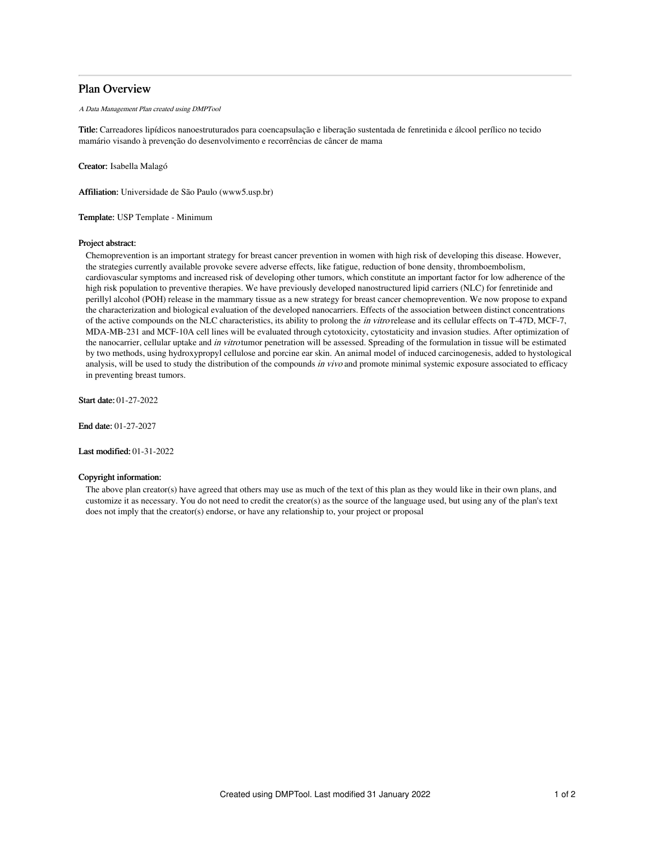# Plan Overview

A Data Management Plan created using DMPTool

Title: Carreadores lipídicos nanoestruturados para coencapsulação e liberação sustentada de fenretinida e álcool perílico no tecido mamário visando à prevenção do desenvolvimento e recorrências de câncer de mama

Creator: Isabella Malagó

Affiliation: Universidade de São Paulo (www5.usp.br)

Template: USP Template - Minimum

## Project abstract:

Chemoprevention is an important strategy for breast cancer prevention in women with high risk of developing this disease. However, the strategies currently available provoke severe adverse effects, like fatigue, reduction of bone density, thromboembolism, cardiovascular symptoms and increased risk of developing other tumors, which constitute an important factor for low adherence of the high risk population to preventive therapies. We have previously developed nanostructured lipid carriers (NLC) for fenretinide and perillyl alcohol (POH) release in the mammary tissue as a new strategy for breast cancer chemoprevention. We now propose to expand the characterization and biological evaluation of the developed nanocarriers. Effects of the association between distinct concentrations of the active compounds on the NLC characteristics, its ability to prolong the *in vitro* release and its cellular effects on T-47D, MCF-7, MDA-MB-231 and MCF-10A cell lines will be evaluated through cytotoxicity, cytostaticity and invasion studies. After optimization of the nanocarrier, cellular uptake and in vitro tumor penetration will be assessed. Spreading of the formulation in tissue will be estimated by two methods, using hydroxypropyl cellulose and porcine ear skin. An animal model of induced carcinogenesis, added to hystological analysis, will be used to study the distribution of the compounds in vivo and promote minimal systemic exposure associated to efficacy in preventing breast tumors.

Start date: 01-27-2022

End date: 01-27-2027

Last modified: 01-31-2022

## Copyright information:

The above plan creator(s) have agreed that others may use as much of the text of this plan as they would like in their own plans, and customize it as necessary. You do not need to credit the creator(s) as the source of the language used, but using any of the plan's text does not imply that the creator(s) endorse, or have any relationship to, your project or proposal